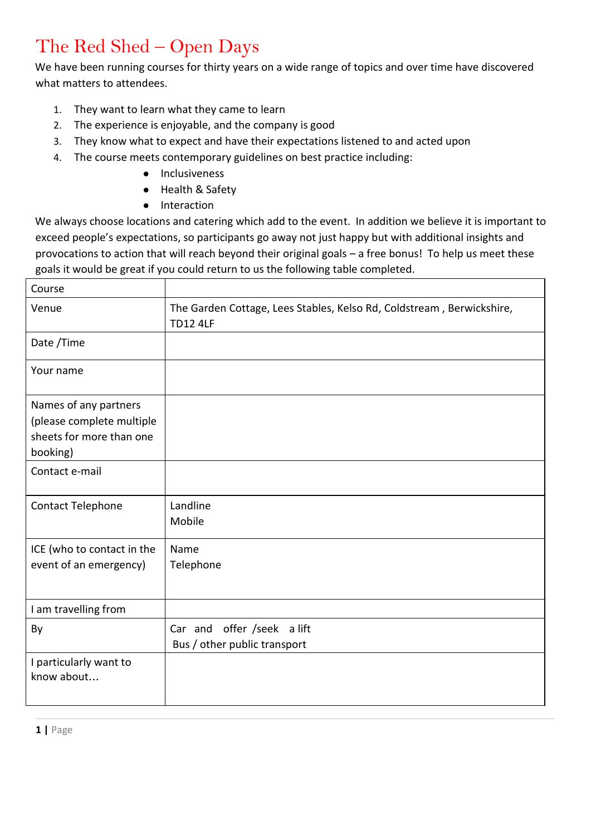## The Red Shed – Open Days

We have been running courses for thirty years on a wide range of topics and over time have discovered what matters to attendees.

- 1. They want to learn what they came to learn
- 2. The experience is enjoyable, and the company is good
- 3. They know what to expect and have their expectations listened to and acted upon
- 4. The course meets contemporary guidelines on best practice including:
	- Inclusiveness
	- Health & Safety
	- Interaction

We always choose locations and catering which add to the event. In addition we believe it is important to exceed people's expectations, so participants go away not just happy but with additional insights and provocations to action that will reach beyond their original goals – a free bonus! To help us meet these goals it would be great if you could return to us the following table completed.

| Course                                                                                     |                                                                                          |
|--------------------------------------------------------------------------------------------|------------------------------------------------------------------------------------------|
| Venue                                                                                      | The Garden Cottage, Lees Stables, Kelso Rd, Coldstream, Berwickshire,<br><b>TD12 4LF</b> |
| Date /Time                                                                                 |                                                                                          |
| Your name                                                                                  |                                                                                          |
| Names of any partners<br>(please complete multiple<br>sheets for more than one<br>booking) |                                                                                          |
| Contact e-mail                                                                             |                                                                                          |
| Contact Telephone                                                                          | Landline<br>Mobile                                                                       |
| ICE (who to contact in the<br>event of an emergency)                                       | Name<br>Telephone                                                                        |
| I am travelling from                                                                       |                                                                                          |
| By                                                                                         | Car and offer /seek a lift<br>Bus / other public transport                               |
| I particularly want to<br>know about                                                       |                                                                                          |